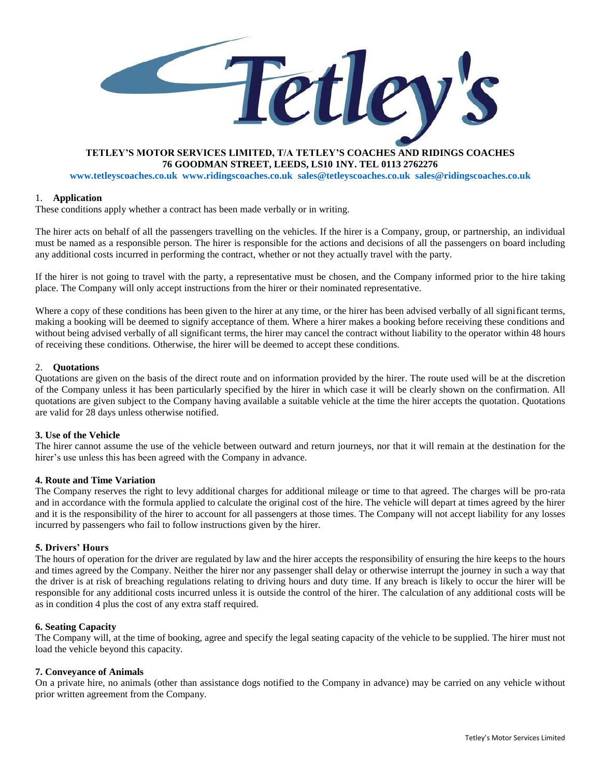

## **TETLEY'S MOTOR SERVICES LIMITED, T/A TETLEY'S COACHES AND RIDINGS COACHES 76 GOODMAN STREET, LEEDS, LS10 1NY. TEL 0113 2762276**

**[www.tetleyscoaches.co.uk](http://www.tetleyscoaches.co.uk/) [www.ridingscoaches.co.uk](http://www.ridingscoaches.co.uk/) [sales@tetleyscoaches.co.uk](mailto:sales@tetleyscoaches.co.uk) sales@ridingscoaches.co.uk**

#### 1. **Application**

These conditions apply whether a contract has been made verbally or in writing.

The hirer acts on behalf of all the passengers travelling on the vehicles. If the hirer is a Company, group, or partnership, an individual must be named as a responsible person. The hirer is responsible for the actions and decisions of all the passengers on board including any additional costs incurred in performing the contract, whether or not they actually travel with the party.

If the hirer is not going to travel with the party, a representative must be chosen, and the Company informed prior to the hire taking place. The Company will only accept instructions from the hirer or their nominated representative.

Where a copy of these conditions has been given to the hirer at any time, or the hirer has been advised verbally of all significant terms, making a booking will be deemed to signify acceptance of them. Where a hirer makes a booking before receiving these conditions and without being advised verbally of all significant terms, the hirer may cancel the contract without liability to the operator within 48 hours of receiving these conditions. Otherwise, the hirer will be deemed to accept these conditions.

#### 2. **Quotations**

Quotations are given on the basis of the direct route and on information provided by the hirer. The route used will be at the discretion of the Company unless it has been particularly specified by the hirer in which case it will be clearly shown on the confirmation. All quotations are given subject to the Company having available a suitable vehicle at the time the hirer accepts the quotation. Quotations are valid for 28 days unless otherwise notified.

### **3. Use of the Vehicle**

The hirer cannot assume the use of the vehicle between outward and return journeys, nor that it will remain at the destination for the hirer's use unless this has been agreed with the Company in advance.

### **4. Route and Time Variation**

The Company reserves the right to levy additional charges for additional mileage or time to that agreed. The charges will be pro-rata and in accordance with the formula applied to calculate the original cost of the hire. The vehicle will depart at times agreed by the hirer and it is the responsibility of the hirer to account for all passengers at those times. The Company will not accept liability for any losses incurred by passengers who fail to follow instructions given by the hirer.

### **5. Drivers' Hours**

The hours of operation for the driver are regulated by law and the hirer accepts the responsibility of ensuring the hire keeps to the hours and times agreed by the Company. Neither the hirer nor any passenger shall delay or otherwise interrupt the journey in such a way that the driver is at risk of breaching regulations relating to driving hours and duty time. If any breach is likely to occur the hirer will be responsible for any additional costs incurred unless it is outside the control of the hirer. The calculation of any additional costs will be as in condition 4 plus the cost of any extra staff required.

### **6. Seating Capacity**

The Company will, at the time of booking, agree and specify the legal seating capacity of the vehicle to be supplied. The hirer must not load the vehicle beyond this capacity.

### **7. Conveyance of Animals**

On a private hire, no animals (other than assistance dogs notified to the Company in advance) may be carried on any vehicle without prior written agreement from the Company.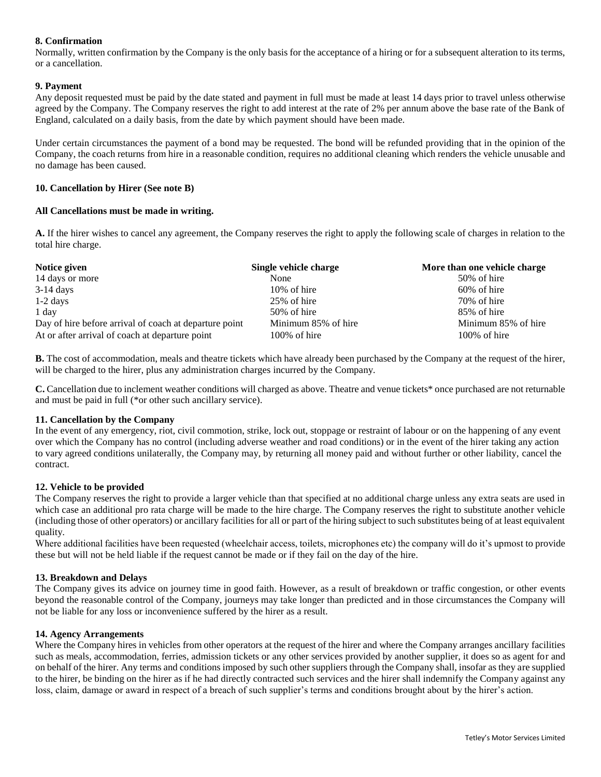# **8. Confirmation**

Normally, written confirmation by the Company is the only basis for the acceptance of a hiring or for a subsequent alteration to its terms, or a cancellation.

## **9. Payment**

Any deposit requested must be paid by the date stated and payment in full must be made at least 14 days prior to travel unless otherwise agreed by the Company. The Company reserves the right to add interest at the rate of 2% per annum above the base rate of the Bank of England, calculated on a daily basis, from the date by which payment should have been made.

Under certain circumstances the payment of a bond may be requested. The bond will be refunded providing that in the opinion of the Company, the coach returns from hire in a reasonable condition, requires no additional cleaning which renders the vehicle unusable and no damage has been caused.

### **10. Cancellation by Hirer (See note B)**

## **All Cancellations must be made in writing.**

**A.** If the hirer wishes to cancel any agreement, the Company reserves the right to apply the following scale of charges in relation to the total hire charge.

| Notice given                                           | Single vehicle charge | More than one vehicle charge |
|--------------------------------------------------------|-----------------------|------------------------------|
| 14 days or more                                        | None                  | 50% of hire                  |
| $3-14$ days                                            | $10\%$ of hire        | 60% of hire                  |
| $1-2$ days                                             | 25% of hire           | 70% of hire                  |
| 1 day                                                  | 50% of hire           | 85% of hire                  |
| Day of hire before arrival of coach at departure point | Minimum 85% of hire   | Minimum 85% of hire          |
| At or after arrival of coach at departure point        | $100\%$ of hire       | $100\%$ of hire              |

**B.** The cost of accommodation, meals and theatre tickets which have already been purchased by the Company at the request of the hirer, will be charged to the hirer, plus any administration charges incurred by the Company.

**C.** Cancellation due to inclement weather conditions will charged as above. Theatre and venue tickets\* once purchased are not returnable and must be paid in full (\*or other such ancillary service).

### **11. Cancellation by the Company**

In the event of any emergency, riot, civil commotion, strike, lock out, stoppage or restraint of labour or on the happening of any event over which the Company has no control (including adverse weather and road conditions) or in the event of the hirer taking any action to vary agreed conditions unilaterally, the Company may, by returning all money paid and without further or other liability, cancel the contract.

### **12. Vehicle to be provided**

The Company reserves the right to provide a larger vehicle than that specified at no additional charge unless any extra seats are used in which case an additional pro rata charge will be made to the hire charge. The Company reserves the right to substitute another vehicle (including those of other operators) or ancillary facilities for all or part of the hiring subject to such substitutes being of at least equivalent quality.

Where additional facilities have been requested (wheelchair access, toilets, microphones etc) the company will do it's upmost to provide these but will not be held liable if the request cannot be made or if they fail on the day of the hire.

### **13. Breakdown and Delays**

The Company gives its advice on journey time in good faith. However, as a result of breakdown or traffic congestion, or other events beyond the reasonable control of the Company, journeys may take longer than predicted and in those circumstances the Company will not be liable for any loss or inconvenience suffered by the hirer as a result.

### **14. Agency Arrangements**

Where the Company hires in vehicles from other operators at the request of the hirer and where the Company arranges ancillary facilities such as meals, accommodation, ferries, admission tickets or any other services provided by another supplier, it does so as agent for and on behalf of the hirer. Any terms and conditions imposed by such other suppliers through the Company shall, insofar as they are supplied to the hirer, be binding on the hirer as if he had directly contracted such services and the hirer shall indemnify the Company against any loss, claim, damage or award in respect of a breach of such supplier's terms and conditions brought about by the hirer's action.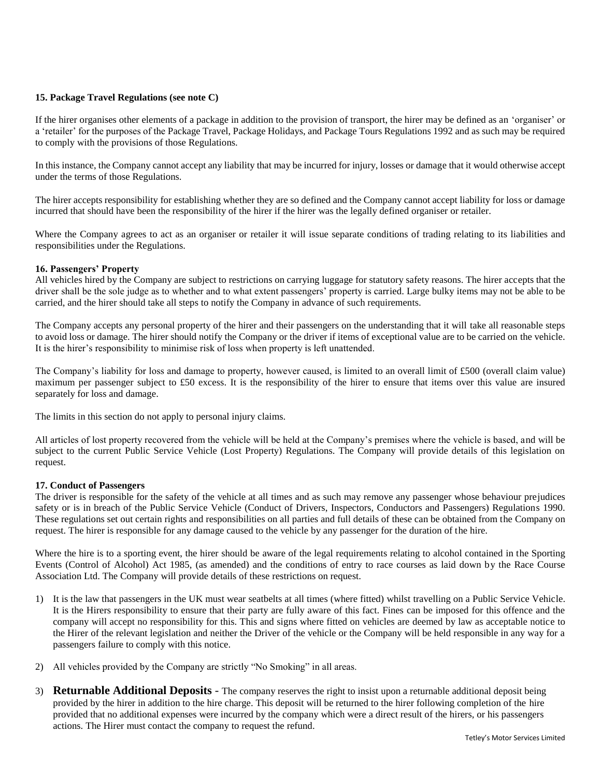## **15. Package Travel Regulations (see note C)**

If the hirer organises other elements of a package in addition to the provision of transport, the hirer may be defined as an 'organiser' or a 'retailer' for the purposes of the Package Travel, Package Holidays, and Package Tours Regulations 1992 and as such may be required to comply with the provisions of those Regulations.

In this instance, the Company cannot accept any liability that may be incurred for injury, losses or damage that it would otherwise accept under the terms of those Regulations.

The hirer accepts responsibility for establishing whether they are so defined and the Company cannot accept liability for loss or damage incurred that should have been the responsibility of the hirer if the hirer was the legally defined organiser or retailer.

Where the Company agrees to act as an organiser or retailer it will issue separate conditions of trading relating to its liabilities and responsibilities under the Regulations.

### **16. Passengers' Property**

All vehicles hired by the Company are subject to restrictions on carrying luggage for statutory safety reasons. The hirer accepts that the driver shall be the sole judge as to whether and to what extent passengers' property is carried. Large bulky items may not be able to be carried, and the hirer should take all steps to notify the Company in advance of such requirements.

The Company accepts any personal property of the hirer and their passengers on the understanding that it will take all reasonable steps to avoid loss or damage. The hirer should notify the Company or the driver if items of exceptional value are to be carried on the vehicle. It is the hirer's responsibility to minimise risk of loss when property is left unattended.

The Company's liability for loss and damage to property, however caused, is limited to an overall limit of £500 (overall claim value) maximum per passenger subject to £50 excess. It is the responsibility of the hirer to ensure that items over this value are insured separately for loss and damage.

The limits in this section do not apply to personal injury claims.

All articles of lost property recovered from the vehicle will be held at the Company's premises where the vehicle is based, and will be subject to the current Public Service Vehicle (Lost Property) Regulations. The Company will provide details of this legislation on request.

### **17. Conduct of Passengers**

The driver is responsible for the safety of the vehicle at all times and as such may remove any passenger whose behaviour prejudices safety or is in breach of the Public Service Vehicle (Conduct of Drivers, Inspectors, Conductors and Passengers) Regulations 1990. These regulations set out certain rights and responsibilities on all parties and full details of these can be obtained from the Company on request. The hirer is responsible for any damage caused to the vehicle by any passenger for the duration of the hire.

Where the hire is to a sporting event, the hirer should be aware of the legal requirements relating to alcohol contained in the Sporting Events (Control of Alcohol) Act 1985, (as amended) and the conditions of entry to race courses as laid down by the Race Course Association Ltd. The Company will provide details of these restrictions on request.

- 1) It is the law that passengers in the UK must wear seatbelts at all times (where fitted) whilst travelling on a Public Service Vehicle. It is the Hirers responsibility to ensure that their party are fully aware of this fact. Fines can be imposed for this offence and the company will accept no responsibility for this. This and signs where fitted on vehicles are deemed by law as acceptable notice to the Hirer of the relevant legislation and neither the Driver of the vehicle or the Company will be held responsible in any way for a passengers failure to comply with this notice.
- 2) All vehicles provided by the Company are strictly "No Smoking" in all areas.
- 3) **Returnable Additional Deposits** The company reserves the right to insist upon a returnable additional deposit being provided by the hirer in addition to the hire charge. This deposit will be returned to the hirer following completion of the hire provided that no additional expenses were incurred by the company which were a direct result of the hirers, or his passengers actions. The Hirer must contact the company to request the refund.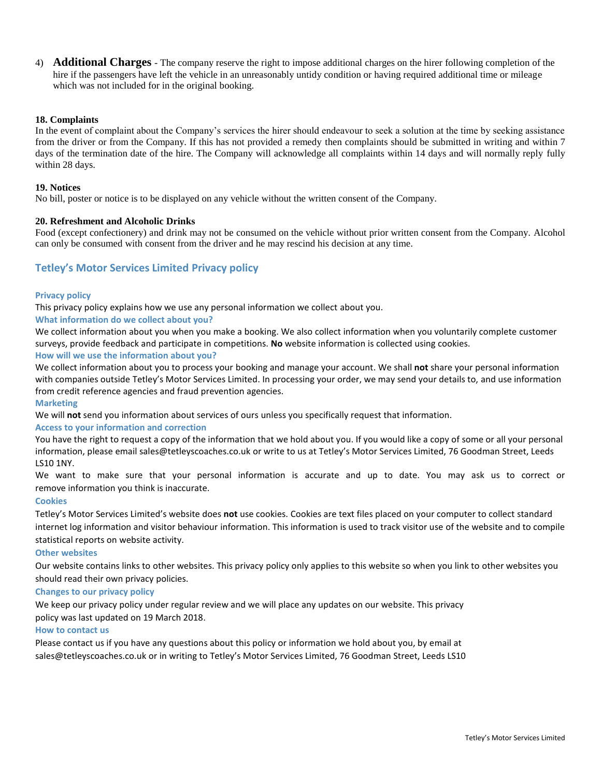4) **Additional Charges** - The company reserve the right to impose additional charges on the hirer following completion of the hire if the passengers have left the vehicle in an unreasonably untidy condition or having required additional time or mileage which was not included for in the original booking.

## **18. Complaints**

In the event of complaint about the Company's services the hirer should endeavour to seek a solution at the time by seeking assistance from the driver or from the Company. If this has not provided a remedy then complaints should be submitted in writing and within 7 days of the termination date of the hire. The Company will acknowledge all complaints within 14 days and will normally reply fully within 28 days.

### **19. Notices**

No bill, poster or notice is to be displayed on any vehicle without the written consent of the Company.

### **20. Refreshment and Alcoholic Drinks**

Food (except confectionery) and drink may not be consumed on the vehicle without prior written consent from the Company. Alcohol can only be consumed with consent from the driver and he may rescind his decision at any time.

# **Tetley's Motor Services Limited Privacy policy**

### **Privacy policy**

This privacy policy explains how we use any personal information we collect about you.

**What information do we collect about you?**

We collect information about you when you make a booking. We also collect information when you voluntarily complete customer surveys, provide feedback and participate in competitions. **No** website information is collected using cookies.

### **How will we use the information about you?**

We collect information about you to process your booking and manage your account. We shall **not** share your personal information with companies outside Tetley's Motor Services Limited. In processing your order, we may send your details to, and use information from credit reference agencies and fraud prevention agencies.

#### **Marketing**

We will **not** send you information about services of ours unless you specifically request that information.

### **Access to your information and correction**

You have the right to request a copy of the information that we hold about you. If you would like a copy of some or all your personal information, please email [sales@tetleyscoaches.co.uk](mailto:sales@tetleyscoaches.co.uk) or write to us at Tetley's Motor Services Limited, 76 Goodman Street, Leeds LS10 1NY.

We want to make sure that your personal information is accurate and up to date. You may ask us to correct or remove information you think is inaccurate.

### **Cookies**

Tetley's Motor Services Limited's website does **not** use cookies. Cookies are text files placed on your computer to collect standard internet log information and visitor behaviour information. This information is used to track visitor use of the website and to compile statistical reports on website activity.

### **Other websites**

Our website contains links to other websites. This privacy policy only applies to this website so when you link to other websites you should read their own privacy policies.

### **Changes to our privacy policy**

We keep our privacy policy under regular review and we will place any updates on our website. This privacy policy was last updated on 19 March 2018.

### **How to contact us**

Please contact us if you have any questions about this policy or information we hold about you, by email at [sales@tetleyscoaches.co.uk](mailto:sales@tetleyscoaches.co.uk) or in writing to Tetley's Motor Services Limited, 76 Goodman Street, Leeds LS10